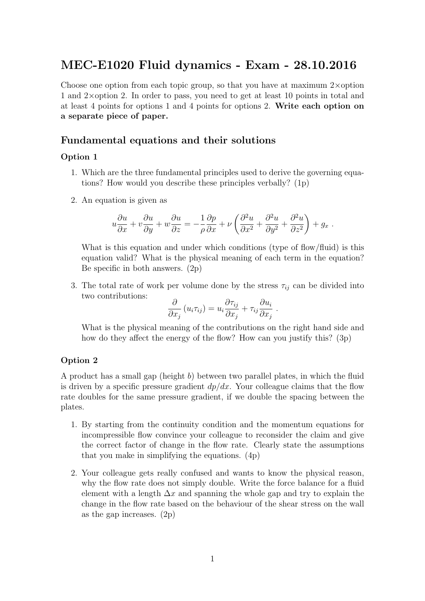# MEC-E1020 Fluid dynamics - Exam - 28.10.2016

Choose one option from each topic group, so that you have at maximum  $2\times$ option 1 and 2×option 2. In order to pass, you need to get at least 10 points in total and at least 4 points for options 1 and 4 points for options 2. Write each option on a separate piece of paper.

### Fundamental equations and their solutions

#### Option 1

- 1. Which are the three fundamental principles used to derive the governing equations? How would you describe these principles verbally? (1p)
- 2. An equation is given as

$$
u\frac{\partial u}{\partial x} + v\frac{\partial u}{\partial y} + w\frac{\partial u}{\partial z} = -\frac{1}{\rho}\frac{\partial p}{\partial x} + \nu\left(\frac{\partial^2 u}{\partial x^2} + \frac{\partial^2 u}{\partial y^2} + \frac{\partial^2 u}{\partial z^2}\right) + g_x.
$$

What is this equation and under which conditions (type of flow/fluid) is this equation valid? What is the physical meaning of each term in the equation? Be specific in both answers. (2p)

3. The total rate of work per volume done by the stress  $\tau_{ij}$  can be divided into two contributions:

$$
\frac{\partial}{\partial x_j} (u_i \tau_{ij}) = u_i \frac{\partial \tau_{ij}}{\partial x_j} + \tau_{ij} \frac{\partial u_i}{\partial x_j}.
$$

What is the physical meaning of the contributions on the right hand side and how do they affect the energy of the flow? How can you justify this? (3p)

#### Option 2

A product has a small gap (height b) between two parallel plates, in which the fluid is driven by a specific pressure gradient  $dp/dx$ . Your colleague claims that the flow rate doubles for the same pressure gradient, if we double the spacing between the plates.

- 1. By starting from the continuity condition and the momentum equations for incompressible flow convince your colleague to reconsider the claim and give the correct factor of change in the flow rate. Clearly state the assumptions that you make in simplifying the equations. (4p)
- 2. Your colleague gets really confused and wants to know the physical reason, why the flow rate does not simply double. Write the force balance for a fluid element with a length  $\Delta x$  and spanning the whole gap and try to explain the change in the flow rate based on the behaviour of the shear stress on the wall as the gap increases. (2p)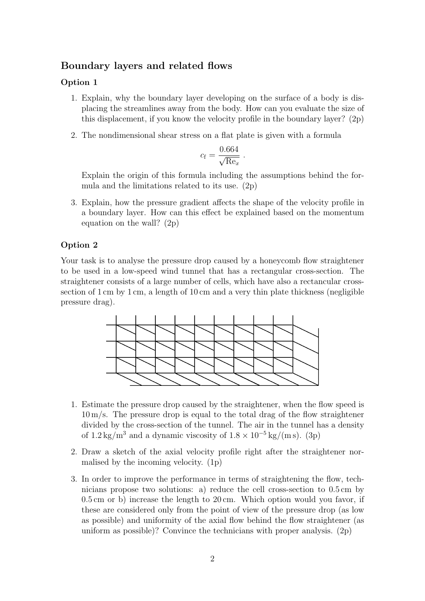# Boundary layers and related flows

### Option 1

- 1. Explain, why the boundary layer developing on the surface of a body is displacing the streamlines away from the body. How can you evaluate the size of this displacement, if you know the velocity profile in the boundary layer? (2p)
- 2. The nondimensional shear stress on a flat plate is given with a formula

$$
c_{\rm f} = \frac{0.664}{\sqrt{\text{Re}_x}}.
$$

Explain the origin of this formula including the assumptions behind the formula and the limitations related to its use. (2p)

3. Explain, how the pressure gradient affects the shape of the velocity profile in a boundary layer. How can this effect be explained based on the momentum equation on the wall? (2p)

### Option 2

Your task is to analyse the pressure drop caused by a honeycomb flow straightener to be used in a low-speed wind tunnel that has a rectangular cross-section. The straightener consists of a large number of cells, which have also a rectancular crosssection of 1 cm by 1 cm, a length of 10 cm and a very thin plate thickness (negligible pressure drag).



- 1. Estimate the pressure drop caused by the straightener, when the flow speed is 10 m/s. The pressure drop is equal to the total drag of the flow straightener divided by the cross-section of the tunnel. The air in the tunnel has a density of  $1.2 \text{ kg/m}^3$  and a dynamic viscosity of  $1.8 \times 10^{-5} \text{ kg/(m s)}$ . (3p)
- 2. Draw a sketch of the axial velocity profile right after the straightener normalised by the incoming velocity. (1p)
- 3. In order to improve the performance in terms of straightening the flow, technicians propose two solutions: a) reduce the cell cross-section to 0.5 cm by 0.5 cm or b) increase the length to 20 cm. Which option would you favor, if these are considered only from the point of view of the pressure drop (as low as possible) and uniformity of the axial flow behind the flow straightener (as uniform as possible)? Convince the technicians with proper analysis.  $(2p)$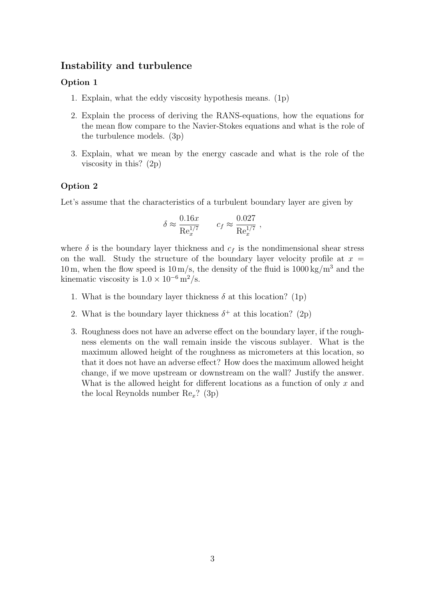### Instability and turbulence

### Option 1

- 1. Explain, what the eddy viscosity hypothesis means. (1p)
- 2. Explain the process of deriving the RANS-equations, how the equations for the mean flow compare to the Navier-Stokes equations and what is the role of the turbulence models. (3p)
- 3. Explain, what we mean by the energy cascade and what is the role of the viscosity in this? (2p)

### Option 2

Let's assume that the characteristics of a turbulent boundary layer are given by

$$
\delta \approx \frac{0.16x}{\mathrm{Re}_x^{1/7}} \qquad c_f \approx \frac{0.027}{\mathrm{Re}_x^{1/7}} \;,
$$

where  $\delta$  is the boundary layer thickness and  $c_f$  is the nondimensional shear stress on the wall. Study the structure of the boundary layer velocity profile at  $x =$ 10 m, when the flow speed is  $10 \,\mathrm{m/s}$ , the density of the fluid is  $1000 \,\mathrm{kg/m^3}$  and the kinematic viscosity is  $1.0 \times 10^{-6}$  m<sup>2</sup>/s.

- 1. What is the boundary layer thickness  $\delta$  at this location? (1p)
- 2. What is the boundary layer thickness  $\delta^+$  at this location? (2p)
- 3. Roughness does not have an adverse effect on the boundary layer, if the roughness elements on the wall remain inside the viscous sublayer. What is the maximum allowed height of the roughness as micrometers at this location, so that it does not have an adverse effect? How does the maximum allowed height change, if we move upstream or downstream on the wall? Justify the answer. What is the allowed height for different locations as a function of only  $x$  and the local Reynolds number  $\text{Re}_x$ ? (3p)